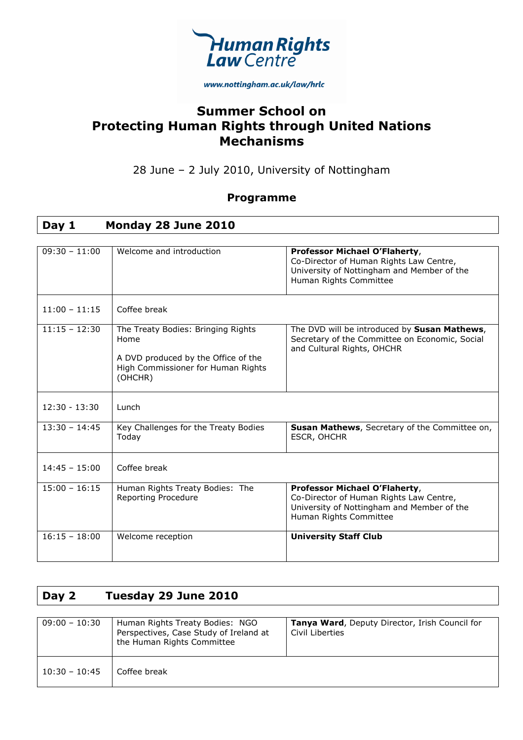

www.nottingham.ac.uk/law/hrlc

### **Summer School on Protecting Human Rights through United Nations Mechanisms**

### 28 June – 2 July 2010, University of Nottingham

#### **Programme**

### **Day 1 Monday 28 June 2010**

| $09:30 - 11:00$ | Welcome and introduction                                                                                                           | Professor Michael O'Flaherty,<br>Co-Director of Human Rights Law Centre,<br>University of Nottingham and Member of the                           |
|-----------------|------------------------------------------------------------------------------------------------------------------------------------|--------------------------------------------------------------------------------------------------------------------------------------------------|
|                 |                                                                                                                                    | Human Rights Committee                                                                                                                           |
| $11:00 - 11:15$ | Coffee break                                                                                                                       |                                                                                                                                                  |
| $11:15 - 12:30$ | The Treaty Bodies: Bringing Rights<br>Home<br>A DVD produced by the Office of the<br>High Commissioner for Human Rights<br>(OHCHR) | The DVD will be introduced by Susan Mathews,<br>Secretary of the Committee on Economic, Social<br>and Cultural Rights, OHCHR                     |
| $12:30 - 13:30$ | Lunch                                                                                                                              |                                                                                                                                                  |
| $13:30 - 14:45$ | Key Challenges for the Treaty Bodies<br>Today                                                                                      | Susan Mathews, Secretary of the Committee on,<br>ESCR, OHCHR                                                                                     |
| $14:45 - 15:00$ | Coffee break                                                                                                                       |                                                                                                                                                  |
| $15:00 - 16:15$ | Human Rights Treaty Bodies: The<br>Reporting Procedure                                                                             | Professor Michael O'Flaherty,<br>Co-Director of Human Rights Law Centre,<br>University of Nottingham and Member of the<br>Human Rights Committee |
| $16:15 - 18:00$ | Welcome reception                                                                                                                  | <b>University Staff Club</b>                                                                                                                     |

### **Day 2 Tuesday 29 June 2010**

| $09:00 - 10:30$ | Human Rights Treaty Bodies: NGO<br>Perspectives, Case Study of Ireland at<br>the Human Rights Committee | <b>Tanya Ward, Deputy Director, Irish Council for</b><br>Civil Liberties |
|-----------------|---------------------------------------------------------------------------------------------------------|--------------------------------------------------------------------------|
| $10:30 - 10:45$ | Coffee break                                                                                            |                                                                          |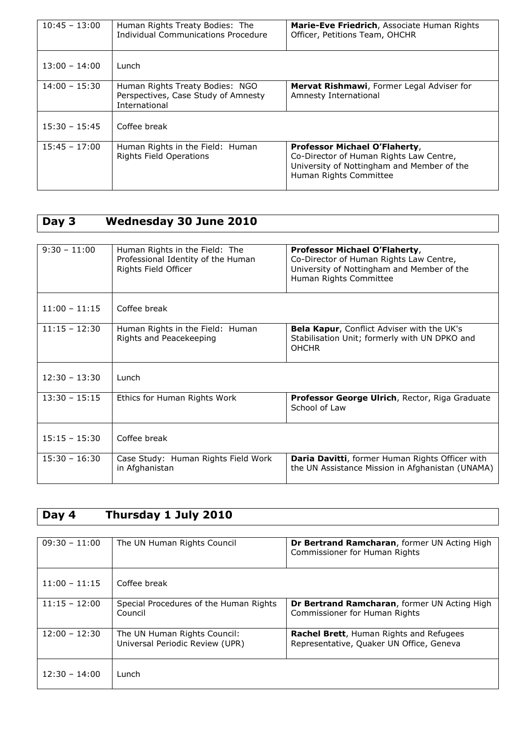| $10:45 - 13:00$ | Human Rights Treaty Bodies: The<br>Individual Communications Procedure                  | Marie-Eve Friedrich, Associate Human Rights<br>Officer, Petitions Team, OHCHR                                                                    |
|-----------------|-----------------------------------------------------------------------------------------|--------------------------------------------------------------------------------------------------------------------------------------------------|
| $13:00 - 14:00$ | Lunch                                                                                   |                                                                                                                                                  |
| $14:00 - 15:30$ | Human Rights Treaty Bodies: NGO<br>Perspectives, Case Study of Amnesty<br>International | <b>Mervat Rishmawi</b> , Former Legal Adviser for<br>Amnesty International                                                                       |
| $15:30 - 15:45$ | Coffee break                                                                            |                                                                                                                                                  |
| $15:45 - 17:00$ | Human Rights in the Field: Human<br><b>Rights Field Operations</b>                      | Professor Michael O'Flaherty,<br>Co-Director of Human Rights Law Centre,<br>University of Nottingham and Member of the<br>Human Rights Committee |

# **Day 3 Wednesday 30 June 2010**

| $9:30 - 11:00$  | Human Rights in the Field: The<br>Professional Identity of the Human<br>Rights Field Officer | Professor Michael O'Flaherty,<br>Co-Director of Human Rights Law Centre,<br>University of Nottingham and Member of the<br>Human Rights Committee |
|-----------------|----------------------------------------------------------------------------------------------|--------------------------------------------------------------------------------------------------------------------------------------------------|
| $11:00 - 11:15$ | Coffee break                                                                                 |                                                                                                                                                  |
| $11:15 - 12:30$ | Human Rights in the Field: Human<br>Rights and Peacekeeping                                  | <b>Bela Kapur, Conflict Adviser with the UK's</b><br>Stabilisation Unit; formerly with UN DPKO and<br><b>OHCHR</b>                               |
| $12:30 - 13:30$ | Lunch                                                                                        |                                                                                                                                                  |
| $13:30 - 15:15$ | Ethics for Human Rights Work                                                                 | Professor George Ulrich, Rector, Riga Graduate<br>School of Law                                                                                  |
| $15:15 - 15:30$ | Coffee break                                                                                 |                                                                                                                                                  |
| $15:30 - 16:30$ | Case Study: Human Rights Field Work<br>in Afghanistan                                        | <b>Daria Davitti, former Human Rights Officer with</b><br>the UN Assistance Mission in Afghanistan (UNAMA)                                       |

## **Day 4 Thursday 1 July 2010**

| $09:30 - 11:00$ | The UN Human Rights Council                                     | <b>Dr Bertrand Ramcharan, former UN Acting High</b><br>Commissioner for Human Rights        |
|-----------------|-----------------------------------------------------------------|---------------------------------------------------------------------------------------------|
| $11:00 - 11:15$ | Coffee break                                                    |                                                                                             |
| $11:15 - 12:00$ | Special Procedures of the Human Rights<br>Council               | <b>Dr Bertrand Ramcharan, former UN Acting High</b><br>Commissioner for Human Rights        |
| $12:00 - 12:30$ | The UN Human Rights Council:<br>Universal Periodic Review (UPR) | <b>Rachel Brett</b> , Human Rights and Refugees<br>Representative, Quaker UN Office, Geneva |
| $12:30 - 14:00$ | Lunch                                                           |                                                                                             |